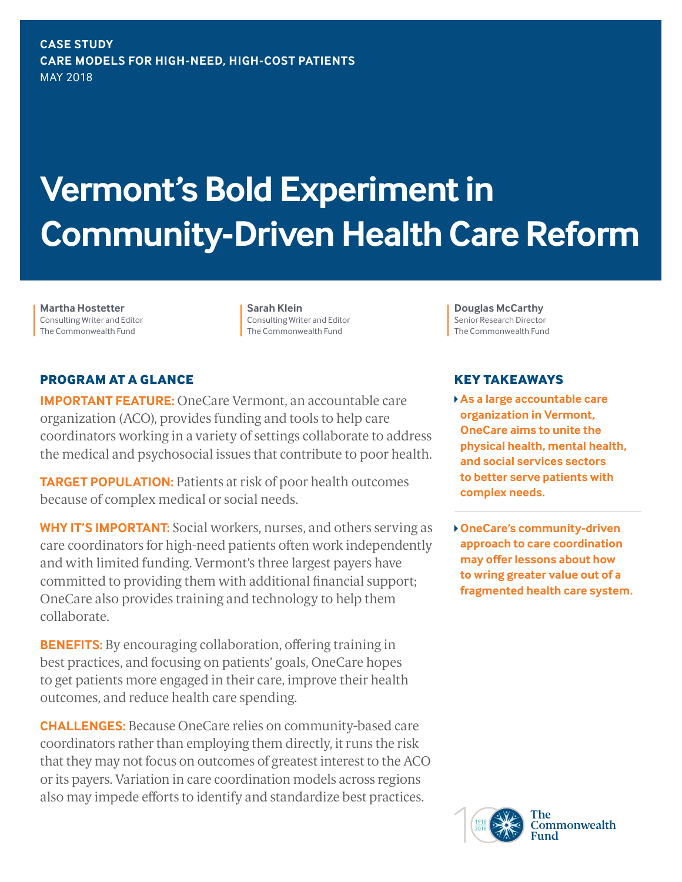**CASE STUDY CARE MODELS FOR HIGH-NEED, HIGH-COST PATIENTS** MAY 2018

# **Vermont's Bold Experiment in Community-Driven Health Care Reform**

**Martha Hostetter** Consulting Writer and Editor The Commonwealth Fund

**Sarah Klein** Consulting Writer and Editor The Commonwealth Fund

## **PROGRAM AT A GLANCE**

**IMPORTANT FEATURE:** OneCare Vermont, an accountable care organization (ACO), provides funding and tools to help care coordinators working in a variety of settings collaborate to address the medical and psychosocial issues that contribute to poor health.

**TARGET POPULATION:** Patients at risk of poor health outcomes because of complex medical or social needs.

**WHY IT'S IMPORTANT:** Social workers, nurses, and others serving as care coordinators for high-need patients often work independently and with limited funding. Vermont's three largest payers have committed to providing them with additional financial support; OneCare also provides training and technology to help them collaborate.

**BENEFITS:** By encouraging collaboration, offering training in best practices, and focusing on patients' goals, OneCare hopes to get patients more engaged in their care, improve their health outcomes, and reduce health care spending.

**CHALLENGES:** Because OneCare relies on community-based care coordinators rather than employing them directly, it runs the risk that they may not focus on outcomes of greatest interest to the ACO or its payers. Variation in care coordination models across regions also may impede efforts to identify and standardize best practices.

**Douglas McCarthy**  Senior Research Director The Commonwealth Fund

#### **KEY TAKEAWAYS**

- **As a large accountable care organization in Vermont, OneCare aims to unite the physical health, mental health, and social services sectors to better serve patients with complex needs.**
- **OneCare's community-driven approach to care coordination may offer lessons about how to wring greater value out of a fragmented health care system.**

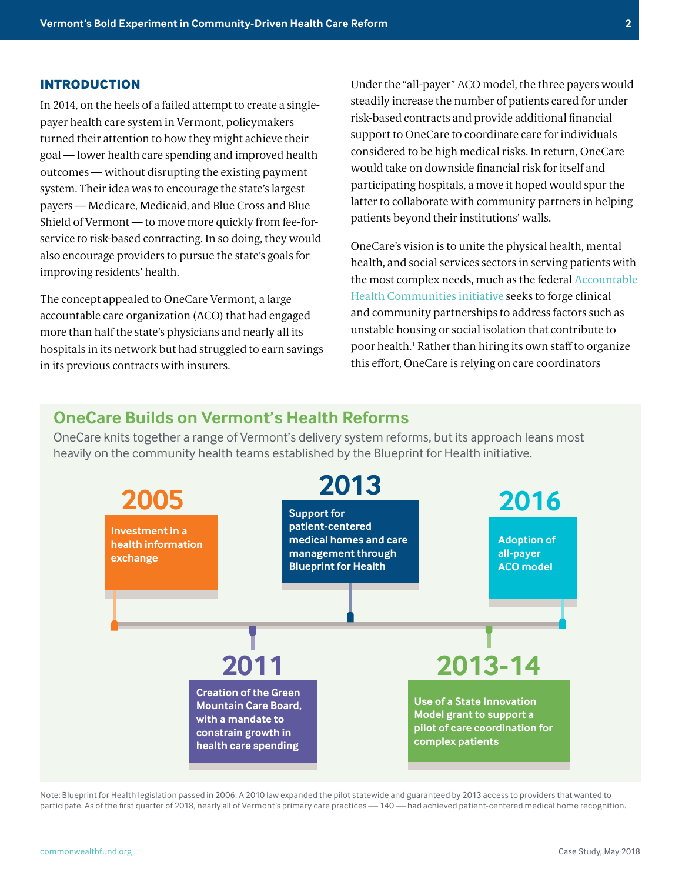#### **INTRODUCTION**

In 2014, on the heels of a failed attempt to create a singlepayer health care system in Vermont, policymakers turned their attention to how they might achieve their goal — lower health care spending and improved health outcomes — without disrupting the existing payment system. Their idea was to encourage the state's largest payers — Medicare, Medicaid, and Blue Cross and Blue Shield of Vermont — to move more quickly from fee-forservice to risk-based contracting. In so doing, they would also encourage providers to pursue the state's goals for improving residents' health.

The concept appealed to OneCare Vermont, a large accountable care organization (ACO) that had engaged more than half the state's physicians and nearly all its hospitals in its network but had struggled to earn savings in its previous contracts with insurers.

Under the "all-payer" ACO model, the three payers would steadily increase the number of patients cared for under risk-based contracts and provide additional financial support to OneCare to coordinate care for individuals considered to be high medical risks. In return, OneCare would take on downside financial risk for itself and participating hospitals, a move it hoped would spur the latter to collaborate with community partners in helping patients beyond their institutions' walls.

OneCare's vision is to unite the physical health, mental health, and social services sectors in serving patients with the most complex needs, much as the federal [Accountable](https://innovation.cms.gov/initiatives/AHCM)  [Health Communities initiative](https://innovation.cms.gov/initiatives/AHCM) seeks to forge clinical and community partnerships to address factors such as unstable housing or social isolation that contribute to poor health.<sup>1</sup> Rather than hiring its own staff to organize this effort, OneCare is relying on care coordinators

# **OneCare Builds on Vermont's Health Reforms**

OneCare knits together a range of Vermont's delivery system reforms, but its approach leans most heavily on the community health teams established by the Blueprint for Health initiative.



Note: Blueprint for Health legislation passed in 2006. A 2010 law expanded the pilot statewide and guaranteed by 2013 access to providers that wanted to participate. As of the first quarter of 2018, nearly all of Vermont's primary care practices — 140 — had achieved patient-centered medical home recognition.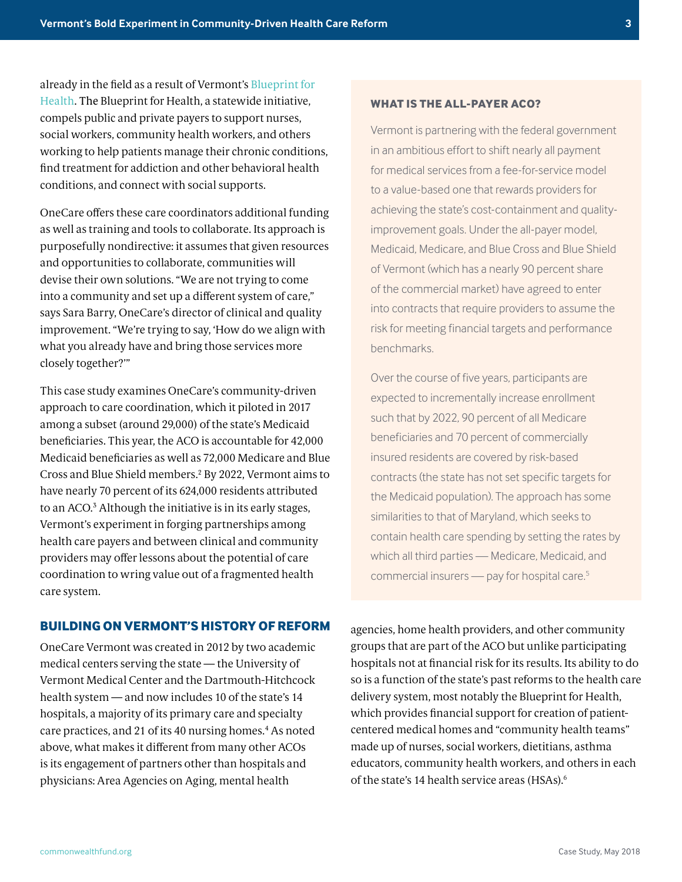already in the field as a result of Vermont's [Blueprint for](http://blueprintforhealth.vermont.gov/)  [Health.](http://blueprintforhealth.vermont.gov/) The Blueprint for Health, a statewide initiative, compels public and private payers to support nurses, social workers, community health workers, and others working to help patients manage their chronic conditions, find treatment for addiction and other behavioral health conditions, and connect with social supports.

OneCare offers these care coordinators additional funding as well as training and tools to collaborate. Its approach is purposefully nondirective: it assumes that given resources and opportunities to collaborate, communities will devise their own solutions. "We are not trying to come into a community and set up a different system of care," says Sara Barry, OneCare's director of clinical and quality improvement. "We're trying to say, 'How do we align with what you already have and bring those services more closely together?'"

This case study examines OneCare's community-driven approach to care coordination, which it piloted in 2017 among a subset (around 29,000) of the state's Medicaid beneficiaries. This year, the ACO is accountable for 42,000 Medicaid beneficiaries as well as 72,000 Medicare and Blue Cross and Blue Shield members.<sup>2</sup> By 2022, Vermont aims to have nearly 70 percent of its 624,000 residents attributed to an ACO.<sup>3</sup> Although the initiative is in its early stages, Vermont's experiment in forging partnerships among health care payers and between clinical and community providers may offer lessons about the potential of care coordination to wring value out of a fragmented health care system.

#### **BUILDING ON VERMONT'S HISTORY OF REFORM**

OneCare Vermont was created in 2012 by two academic medical centers serving the state — the University of Vermont Medical Center and the Dartmouth-Hitchcock health system — and now includes 10 of the state's 14 hospitals, a majority of its primary care and specialty care practices, and 21 of its 40 nursing homes.<sup>4</sup> As noted above, what makes it different from many other ACOs is its engagement of partners other than hospitals and physicians: Area Agencies on Aging, mental health

**WHAT IS THE ALL-PAYER ACO?**

Vermont is partnering with the federal government in an ambitious effort to shift nearly all payment for medical services from a fee-for-service model to a value-based one that rewards providers for achieving the state's cost-containment and qualityimprovement goals. Under the all-payer model, Medicaid, Medicare, and Blue Cross and Blue Shield of Vermont (which has a nearly 90 percent share of the commercial market) have agreed to enter into contracts that require providers to assume the risk for meeting financial targets and performance benchmarks.

Over the course of five years, participants are expected to incrementally increase enrollment such that by 2022, 90 percent of all Medicare beneficiaries and 70 percent of commercially insured residents are covered by risk-based contracts (the state has not set specific targets for the Medicaid population). The approach has some similarities to that of Maryland, which seeks to contain health care spending by setting the rates by which all third parties — Medicare, Medicaid, and commercial insurers — pay for hospital care.5

agencies, home health providers, and other community groups that are part of the ACO but unlike participating hospitals not at financial risk for its results. Its ability to do so is a function of the state's past reforms to the health care delivery system, most notably the Blueprint for Health, which provides financial support for creation of patientcentered medical homes and "community health teams" made up of nurses, social workers, dietitians, asthma educators, community health workers, and others in each of the state's 14 health service areas (HSAs).6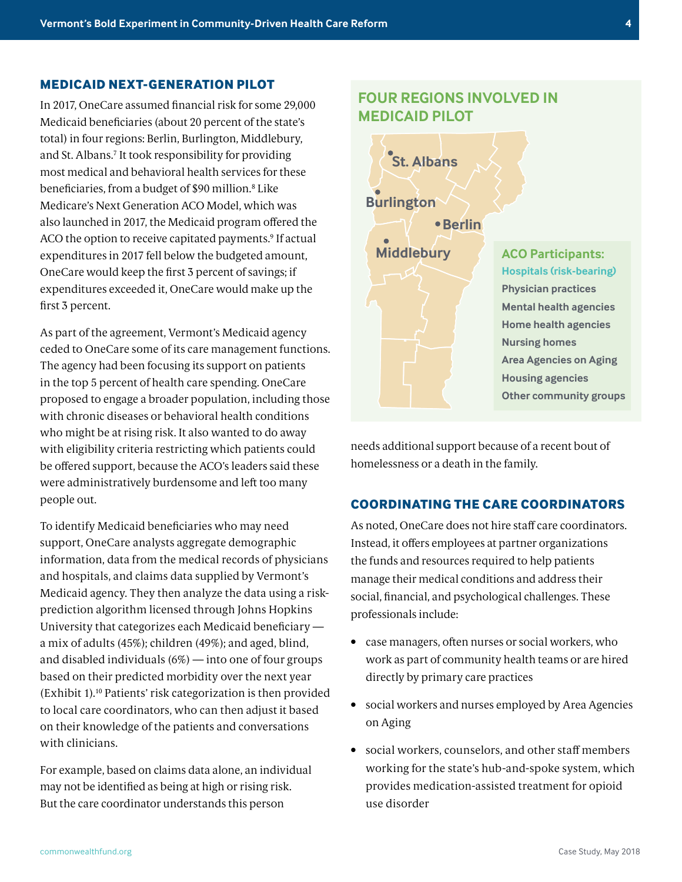#### **MEDICAID NEXT-GENERATION PILOT**

In 2017, OneCare assumed financial risk for some 29,000 Medicaid beneficiaries (about 20 percent of the state's total) in four regions: Berlin, Burlington, Middlebury, and St. Albans.<sup>7</sup> It took responsibility for providing most medical and behavioral health services for these beneficiaries, from a budget of \$90 million.<sup>8</sup> Like Medicare's Next Generation ACO Model, which was also launched in 2017, the Medicaid program offered the ACO the option to receive capitated payments.<sup>9</sup> If actual expenditures in 2017 fell below the budgeted amount, OneCare would keep the first 3 percent of savings; if expenditures exceeded it, OneCare would make up the first 3 percent.

As part of the agreement, Vermont's Medicaid agency ceded to OneCare some of its care management functions. The agency had been focusing its support on patients in the top 5 percent of health care spending. OneCare proposed to engage a broader population, including those with chronic diseases or behavioral health conditions who might be at rising risk. It also wanted to do away with eligibility criteria restricting which patients could be offered support, because the ACO's leaders said these were administratively burdensome and left too many people out.

To identify Medicaid beneficiaries who may need support, OneCare analysts aggregate demographic information, data from the medical records of physicians and hospitals, and claims data supplied by Vermont's Medicaid agency. They then analyze the data using a riskprediction algorithm licensed through Johns Hopkins University that categorizes each Medicaid beneficiary a mix of adults (45%); children (49%); and aged, blind, and disabled individuals (6%) — into one of four groups based on their predicted morbidity over the next year (Exhibit 1).10 Patients' risk categorization is then provided to local care coordinators, who can then adjust it based on their knowledge of the patients and conversations with clinicians.

For example, based on claims data alone, an individual may not be identified as being at high or rising risk. But the care coordinator understands this person

# **FOUR REGIONS INVOLVED IN MEDICAID PILOT**



needs additional support because of a recent bout of homelessness or a death in the family.

#### **COORDINATING THE CARE COORDINATORS**

As noted, OneCare does not hire staff care coordinators. Instead, it offers employees at partner organizations the funds and resources required to help patients manage their medical conditions and address their social, financial, and psychological challenges. These professionals include:

- case managers, often nurses or social workers, who work as part of community health teams or are hired directly by primary care practices
- social workers and nurses employed by Area Agencies on Aging
- social workers, counselors, and other staff members working for the state's hub-and-spoke system, which provides medication-assisted treatment for opioid use disorder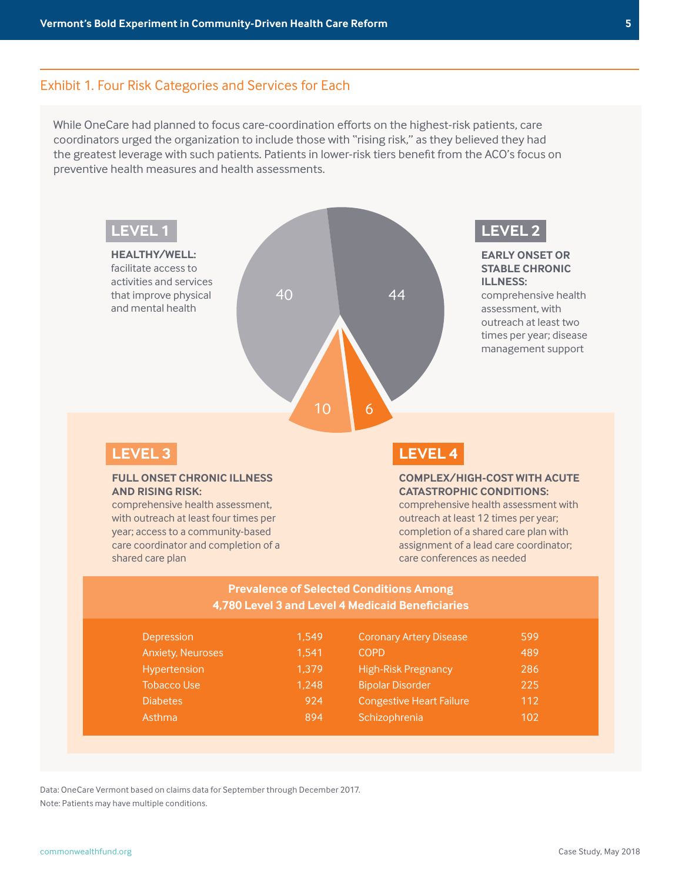#### Exhibit 1. Four Risk Categories and Services for Each

While OneCare had planned to focus care-coordination efforts on the highest-risk patients, care coordinators urged the organization to include those with "rising risk," as they believed they had the greatest leverage with such patients. Patients in lower-risk tiers benefit from the ACO's focus on preventive health measures and health assessments.



# **LEVEL 3**

#### **FULL ONSET CHRONIC ILLNESS AND RISING RISK:**

comprehensive health assessment, with outreach at least four times per year; access to a community-based care coordinator and completion of a shared care plan

# **LEVEL 4**

#### **COMPLEX/HIGH-COST WITH ACUTE CATASTROPHIC CONDITIONS:**

comprehensive health assessment with outreach at least 12 times per year; completion of a shared care plan with assignment of a lead care coordinator; care conferences as needed

#### **Prevalence of Selected Conditions Among 4,780 Level 3 and Level 4 Medicaid Beneficiaries**

| Depression               | 1.549 | <b>Coronary Artery Disease</b>  | 599 |
|--------------------------|-------|---------------------------------|-----|
| <b>Anxiety, Neuroses</b> | 1.541 | <b>COPD</b>                     | 489 |
| Hypertension             | 1.379 | <b>High-Risk Pregnancy</b>      | 286 |
| <b>Tobacco Use</b>       | 1.248 | <b>Bipolar Disorder</b>         | 225 |
| <b>Diabetes</b>          | 924   | <b>Congestive Heart Failure</b> | 112 |
| Asthma                   | 894   | Schizophrenia                   | 102 |

Data: OneCare Vermont based on claims data for September through December 2017. Note: Patients may have multiple conditions.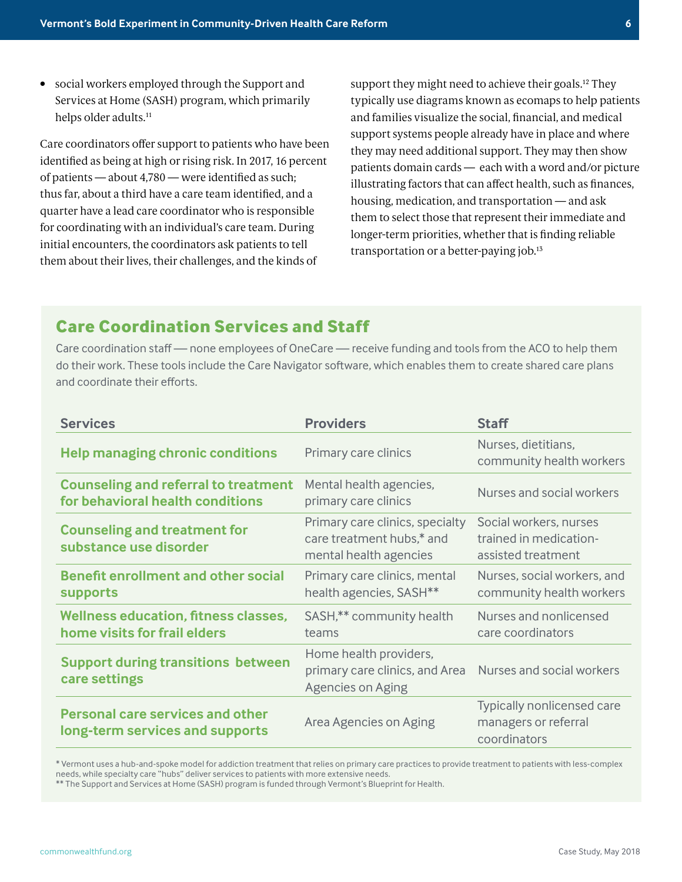• social workers employed through the Support and Services at Home (SASH) program, which primarily helps older adults.<sup>11</sup>

Care coordinators offer support to patients who have been identified as being at high or rising risk. In 2017, 16 percent of patients — about 4,780 — were identified as such; thus far, about a third have a care team identified, and a quarter have a lead care coordinator who is responsible for coordinating with an individual's care team. During initial encounters, the coordinators ask patients to tell them about their lives, their challenges, and the kinds of

support they might need to achieve their goals.<sup>12</sup> They typically use diagrams known as ecomaps to help patients and families visualize the social, financial, and medical support systems people already have in place and where they may need additional support. They may then show patients domain cards — each with a word and/or picture illustrating factors that can affect health, such as finances, housing, medication, and transportation — and ask them to select those that represent their immediate and longer-term priorities, whether that is finding reliable transportation or a better-paying job.<sup>13</sup>

# **Care Coordination Services and Staff**

Care coordination staff — none employees of OneCare — receive funding and tools from the ACO to help them do their work. These tools include the Care Navigator software, which enables them to create shared care plans and coordinate their efforts.

| <b>Services</b>                                                                 | <b>Providers</b>                                                                       | <b>Staff</b>                                                           |
|---------------------------------------------------------------------------------|----------------------------------------------------------------------------------------|------------------------------------------------------------------------|
| <b>Help managing chronic conditions</b>                                         | Primary care clinics                                                                   | Nurses, dietitians,<br>community health workers                        |
| <b>Counseling and referral to treatment</b><br>for behavioral health conditions | Mental health agencies,<br>primary care clinics                                        | Nurses and social workers                                              |
| <b>Counseling and treatment for</b><br>substance use disorder                   | Primary care clinics, specialty<br>care treatment hubs,* and<br>mental health agencies | Social workers, nurses<br>trained in medication-<br>assisted treatment |
| <b>Benefit enrollment and other social</b><br><b>supports</b>                   | Primary care clinics, mental<br>health agencies, SASH <sup>**</sup>                    | Nurses, social workers, and<br>community health workers                |
| <b>Wellness education, fitness classes,</b><br>home visits for frail elders     | SASH,** community health<br>teams                                                      | Nurses and nonlicensed<br>care coordinators                            |
| <b>Support during transitions between</b><br>care settings                      | Home health providers,<br>primary care clinics, and Area<br>Agencies on Aging          | Nurses and social workers                                              |
| <b>Personal care services and other</b><br>long-term services and supports      | Area Agencies on Aging                                                                 | Typically nonlicensed care<br>managers or referral<br>coordinators     |

\* Vermont uses a hub-and-spoke model for addiction treatment that relies on primary care practices to provide treatment to patients with less-complex needs, while specialty care "hubs" deliver services to patients with more extensive needs.

\*\* The Support and Services at Home (SASH) program is funded through Vermont's Blueprint for Health.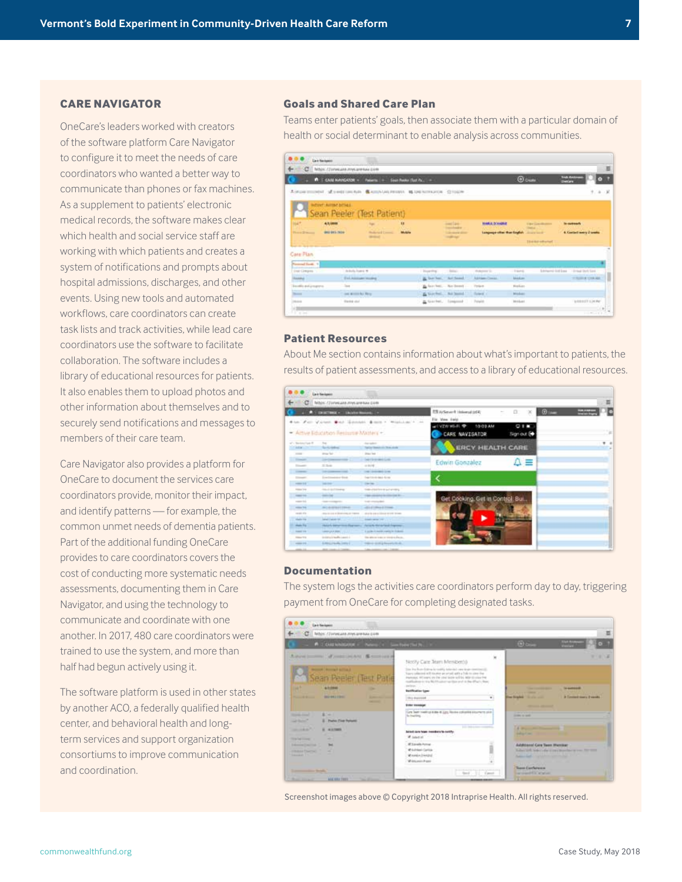#### **CARE NAVIGATOR**

OneCare's leaders worked with creators of the software platform Care Navigator to configure it to meet the needs of care coordinators who wanted a better way to communicate than phones or fax machines. As a supplement to patients' electronic medical records, the software makes clear which health and social service staff are working with which patients and creates a system of notifications and prompts about hospital admissions, discharges, and other events. Using new tools and automated workflows, care coordinators can create task lists and track activities, while lead care coordinators use the software to facilitate collaboration. The software includes a library of educational resources for patients. It also enables them to upload photos and other information about themselves and to securely send notifications and messages to members of their care team.

Care Navigator also provides a platform for OneCare to document the services care coordinators provide, monitor their impact, and identify patterns — for example, the common unmet needs of dementia patients. Part of the additional funding OneCare provides to care coordinators covers the cost of conducting more systematic needs assessments, documenting them in Care Navigator, and using the technology to communicate and coordinate with one another. In 2017, 480 care coordinators were trained to use the system, and more than half had begun actively using it.

The software platform is used in other states by another ACO, a federally qualified health center, and behavioral health and longterm services and support organization consortiums to improve communication and coordination.

#### **Goals and Shared Care Plan**

Teams enter patients' goals, then associate them with a particular domain of health or social determinant to enable analysis across communities.

|                                                                        | Carl Series                                                             |                                                    |             |                              |                                                                                      |                                                      |                  |                                                                 |                                                     |       |
|------------------------------------------------------------------------|-------------------------------------------------------------------------|----------------------------------------------------|-------------|------------------------------|--------------------------------------------------------------------------------------|------------------------------------------------------|------------------|-----------------------------------------------------------------|-----------------------------------------------------|-------|
| c                                                                      | NEWS CONNECTIONS AND ARRESTS CORP.                                      |                                                    |             |                              |                                                                                      |                                                      |                  |                                                                 |                                                     | Ξ     |
|                                                                        | <b>IT I CAN MAYGATON -</b>                                              | <b>Now to: See New York, a</b>                     |             |                              |                                                                                      |                                                      |                  | $\Theta$ create                                                 | <b>Truck Alex</b><br><b>CONTRACT</b>                |       |
| A SECOND TELLINGUITY AND AN ARRANGEMENTAL IN THE RETURN OF CONSULTANCE |                                                                         |                                                    |             |                              |                                                                                      |                                                      |                  |                                                                 |                                                     | 9.2.3 |
| <b>Half</b><br><b>Howard Streeters</b>                                 | intern Arme bries<br>Sean Peeler (Test Patient)<br>Altimie<br>01201-709 | <b>Sec</b><br><b>Robert Lowel</b><br><b>Street</b> | u<br>Mobile |                              | <b>Come Career</b><br><b>Contractor</b><br><b>Literature down</b><br><b>CONTRACT</b> | <b>WARLE D'HABLE</b><br>Longwest office than English |                  | <b>TAY CANADARY</b><br><b>Construction</b><br>The Air elforial' | <b>Statement</b><br><b>4. Contact mery if weeks</b> |       |
| $-111 - 1$<br>Care Plan                                                |                                                                         |                                                    |             |                              |                                                                                      |                                                      |                  |                                                                 |                                                     |       |
| <b>Contract Service</b><br>Dealt Company                               | de la fis Francia MI                                                    |                                                    |             | <b>Douglass</b>              | <b>Silver</b>                                                                        | <b>Huberton St.</b>                                  | <b>District</b>  | Edvisored Gut Low                                               | 7 living last lies.                                 |       |
| hanks.                                                                 | Eni, Associate Modele                                                   |                                                    |             | <b>B</b> Day New 1984 Search |                                                                                      | Addison/James                                        | <b>MARINE</b>    |                                                                 | <b>STRUITE CORAN.</b>                               |       |
| <b>Envelo externancia</b>                                              | <b>Seat</b>                                                             |                                                    |             |                              | By Law Sec. No Down 1                                                                | <b>Partiacts</b>                                     | <b>Finalize</b>  |                                                                 |                                                     |       |
|                                                                        | and all control Many                                                    |                                                    |             |                              | as tracked. Not hand                                                                 | <b>Relayation</b>                                    | <b>Mindustry</b> |                                                                 |                                                     |       |
| <b>TOTAL ESTATE</b><br><b>Service</b>                                  |                                                                         |                                                    |             |                              |                                                                                      |                                                      |                  |                                                                 |                                                     |       |

#### **Patient Resources**

About Me section contains information about what's important to patients, the results of patient assessments, and access to a library of educational resources.

|                                                                                                                                                                                                                                                                                                                                                                                                                                                                            | C Hotel: Clanecate.mycare.say.com                                                                        |                                                 |                                                                                                                                                         |  |
|----------------------------------------------------------------------------------------------------------------------------------------------------------------------------------------------------------------------------------------------------------------------------------------------------------------------------------------------------------------------------------------------------------------------------------------------------------------------------|----------------------------------------------------------------------------------------------------------|-------------------------------------------------|---------------------------------------------------------------------------------------------------------------------------------------------------------|--|
|                                                                                                                                                                                                                                                                                                                                                                                                                                                                            | <b>A PARTING CONSUMING A</b><br>4 to Fer Viren But Londo Boon -<br>- Active Education Resource Masters + | Withhim Links 2. Con-                           | <b>O</b><br><b>Book</b><br>13 Adjament (Internal (ISA)<br>o<br>Fia - Wee Ferd<br><b>LAST WILE OF</b><br>011<br>10/03 AM<br>CARE NAVISATOR<br>Sign out E |  |
| of a Norders Ford II.<br><b>CARACTER</b>                                                                                                                                                                                                                                                                                                                                                                                                                                   | Text.<br>Scientistical                                                                                   | for sales<br>Taylor Stewarts In Three stocks    | <b>ERCY HEALTH CARE</b>                                                                                                                                 |  |
| $-$                                                                                                                                                                                                                                                                                                                                                                                                                                                                        | <b>Brown Bark</b>                                                                                        | Draw feet                                       |                                                                                                                                                         |  |
| <b>The Company</b>                                                                                                                                                                                                                                                                                                                                                                                                                                                         | <b>CALL CARD CARD CARD</b>                                                                               | <b>Deal Editor And Conti-</b>                   | ДΞ<br>Edwin González                                                                                                                                    |  |
| <b>This country</b>                                                                                                                                                                                                                                                                                                                                                                                                                                                        | 21.7646                                                                                                  | $-0.000000$                                     |                                                                                                                                                         |  |
| $\frac{1}{2} \left( \frac{1}{2} \right) \left( \frac{1}{2} \right) \left( \frac{1}{2} \right) \left( \frac{1}{2} \right) \left( \frac{1}{2} \right) \left( \frac{1}{2} \right) \left( \frac{1}{2} \right) \left( \frac{1}{2} \right) \left( \frac{1}{2} \right) \left( \frac{1}{2} \right) \left( \frac{1}{2} \right) \left( \frac{1}{2} \right) \left( \frac{1}{2} \right) \left( \frac{1}{2} \right) \left( \frac{1}{2} \right) \left( \frac{1}{2} \right) \left( \frac$ | the company could                                                                                        | that increase the                               |                                                                                                                                                         |  |
| <b>State of Congress</b>                                                                                                                                                                                                                                                                                                                                                                                                                                                   | Listmann bid                                                                                             | Telefonia Mark Kings                            |                                                                                                                                                         |  |
| come to a                                                                                                                                                                                                                                                                                                                                                                                                                                                                  | <b>Contractor</b>                                                                                        | <b>CALL ON</b>                                  |                                                                                                                                                         |  |
| <b>County</b> Tree                                                                                                                                                                                                                                                                                                                                                                                                                                                         | THE R. P. LEWIS CO., LANSING MICH.                                                                       | these substitutes or auto product.              |                                                                                                                                                         |  |
| <b>CONTRACTOR</b>                                                                                                                                                                                                                                                                                                                                                                                                                                                          | -                                                                                                        | The country will be the                         | Get Cooking: Get in Control: Bui.                                                                                                                       |  |
| come but                                                                                                                                                                                                                                                                                                                                                                                                                                                                   | the company's                                                                                            | Total construction.                             |                                                                                                                                                         |  |
| mental first                                                                                                                                                                                                                                                                                                                                                                                                                                                               | <b>Mich de Militar Entre els</b>                                                                         | will be given book of the same                  |                                                                                                                                                         |  |
| recent site                                                                                                                                                                                                                                                                                                                                                                                                                                                                | make a control of the private and company                                                                | duck on a literature trees.                     |                                                                                                                                                         |  |
| <b>Charles</b> City                                                                                                                                                                                                                                                                                                                                                                                                                                                        | <b>Stratchwood Gallery All Cards</b>                                                                     | Stationers (NC) 211                             |                                                                                                                                                         |  |
| <b>Hally Fra</b>                                                                                                                                                                                                                                                                                                                                                                                                                                                           |                                                                                                          | Akiah kanymis Bursan, Amerik Melantasi Ingensi. |                                                                                                                                                         |  |
| <b>DARK TOP</b>                                                                                                                                                                                                                                                                                                                                                                                                                                                            | <b>GRANDFORD</b> (CLUT)                                                                                  | A polar in party waive to intenti-              |                                                                                                                                                         |  |
| <b>CONTRACTOR</b>                                                                                                                                                                                                                                                                                                                                                                                                                                                          | the station is business companies to                                                                     | the plans rate or manual and                    |                                                                                                                                                         |  |
| come on                                                                                                                                                                                                                                                                                                                                                                                                                                                                    | GLASS & Scottish control 1                                                                               | The American constitution of the American       |                                                                                                                                                         |  |
|                                                                                                                                                                                                                                                                                                                                                                                                                                                                            |                                                                                                          |                                                 |                                                                                                                                                         |  |

#### **Documentation**

The system logs the activities care coordinators perform day to day, triggering payment from OneCare for completing designated tasks.



Screenshot images above © Copyright 2018 Intraprise Health. All rights reserved.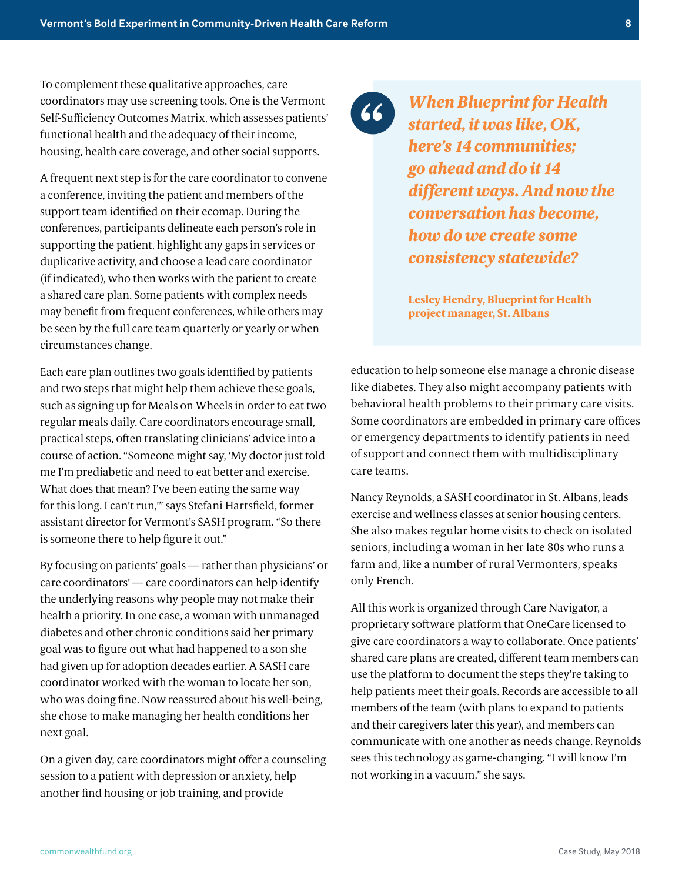To complement these qualitative approaches, care coordinators may use screening tools. One is the Vermont Self-Sufficiency Outcomes Matrix, which assesses patients' functional health and the adequacy of their income, housing, health care coverage, and other social supports.

A frequent next step is for the care coordinator to convene a conference, inviting the patient and members of the support team identified on their ecomap. During the conferences, participants delineate each person's role in supporting the patient, highlight any gaps in services or duplicative activity, and choose a lead care coordinator (if indicated), who then works with the patient to create a shared care plan. Some patients with complex needs may benefit from frequent conferences, while others may be seen by the full care team quarterly or yearly or when circumstances change.

Each care plan outlines two goals identified by patients and two steps that might help them achieve these goals, such as signing up for Meals on Wheels in order to eat two regular meals daily. Care coordinators encourage small, practical steps, often translating clinicians' advice into a course of action. "Someone might say, 'My doctor just told me I'm prediabetic and need to eat better and exercise. What does that mean? I've been eating the same way for this long. I can't run,'" says Stefani Hartsfield, former assistant director for Vermont's SASH program. "So there is someone there to help figure it out."

By focusing on patients' goals — rather than physicians' or care coordinators' — care coordinators can help identify the underlying reasons why people may not make their health a priority. In one case, a woman with unmanaged diabetes and other chronic conditions said her primary goal was to figure out what had happened to a son she had given up for adoption decades earlier. A SASH care coordinator worked with the woman to locate her son, who was doing fine. Now reassured about his well-being, she chose to make managing her health conditions her next goal.

On a given day, care coordinators might offer a counseling session to a patient with depression or anxiety, help another find housing or job training, and provide

 $66)$ 

*When Blueprint for Health started, it was like, OK, here's 14 communities; go ahead and do it 14 different ways. And now the conversation has become, how do we create some consistency statewide?*

**Lesley Hendry, Blueprint for Health project manager, St. Albans**

education to help someone else manage a chronic disease like diabetes. They also might accompany patients with behavioral health problems to their primary care visits. Some coordinators are embedded in primary care offices or emergency departments to identify patients in need of support and connect them with multidisciplinary care teams.

Nancy Reynolds, a SASH coordinator in St. Albans, leads exercise and wellness classes at senior housing centers. She also makes regular home visits to check on isolated seniors, including a woman in her late 80s who runs a farm and, like a number of rural Vermonters, speaks only French.

All this work is organized through Care Navigator, a proprietary software platform that OneCare licensed to give care coordinators a way to collaborate. Once patients' shared care plans are created, different team members can use the platform to document the steps they're taking to help patients meet their goals. Records are accessible to all members of the team (with plans to expand to patients and their caregivers later this year), and members can communicate with one another as needs change. Reynolds sees this technology as game-changing. "I will know I'm not working in a vacuum," she says.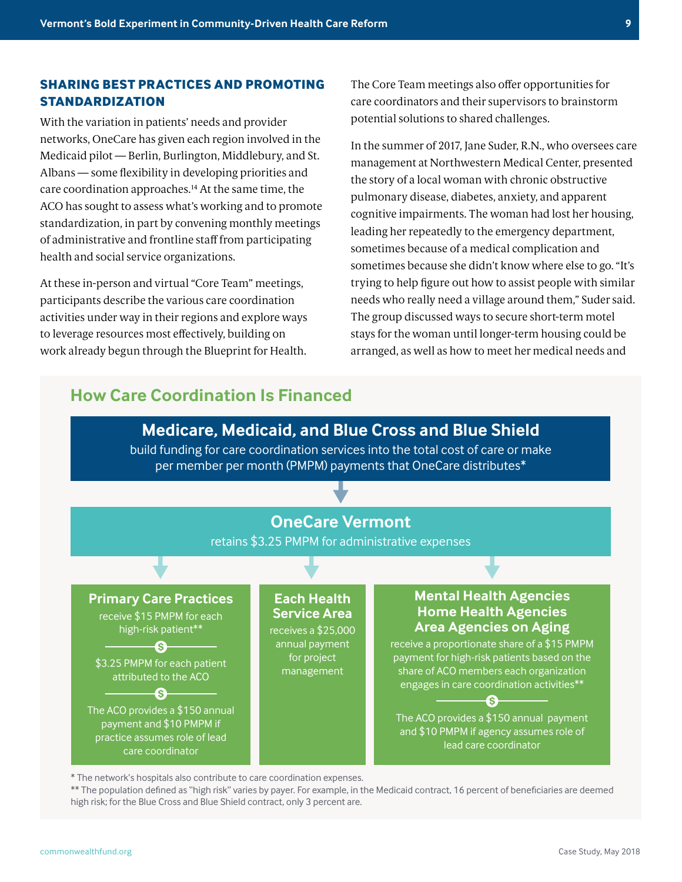#### **SHARING BEST PRACTICES AND PROMOTING STANDARDIZATION**

With the variation in patients' needs and provider networks, OneCare has given each region involved in the Medicaid pilot — Berlin, Burlington, Middlebury, and St. Albans — some flexibility in developing priorities and care coordination approaches.14 At the same time, the ACO has sought to assess what's working and to promote standardization, in part by convening monthly meetings of administrative and frontline staff from participating health and social service organizations.

At these in-person and virtual "Core Team" meetings, participants describe the various care coordination activities under way in their regions and explore ways to leverage resources most effectively, building on work already begun through the Blueprint for Health.

The Core Team meetings also offer opportunities for care coordinators and their supervisors to brainstorm potential solutions to shared challenges.

In the summer of 2017, Jane Suder, R.N., who oversees care management at Northwestern Medical Center, presented the story of a local woman with chronic obstructive pulmonary disease, diabetes, anxiety, and apparent cognitive impairments. The woman had lost her housing, leading her repeatedly to the emergency department, sometimes because of a medical complication and sometimes because she didn't know where else to go. "It's trying to help figure out how to assist people with similar needs who really need a village around them," Suder said. The group discussed ways to secure short-term motel stays for the woman until longer-term housing could be arranged, as well as how to meet her medical needs and

# **How Care Coordination Is Financed**



\* The network's hospitals also contribute to care coordination expenses.

\*\* The population defined as "high risk" varies by payer. For example, in the Medicaid contract, 16 percent of beneficiaries are deemed high risk; for the Blue Cross and Blue Shield contract, only 3 percent are.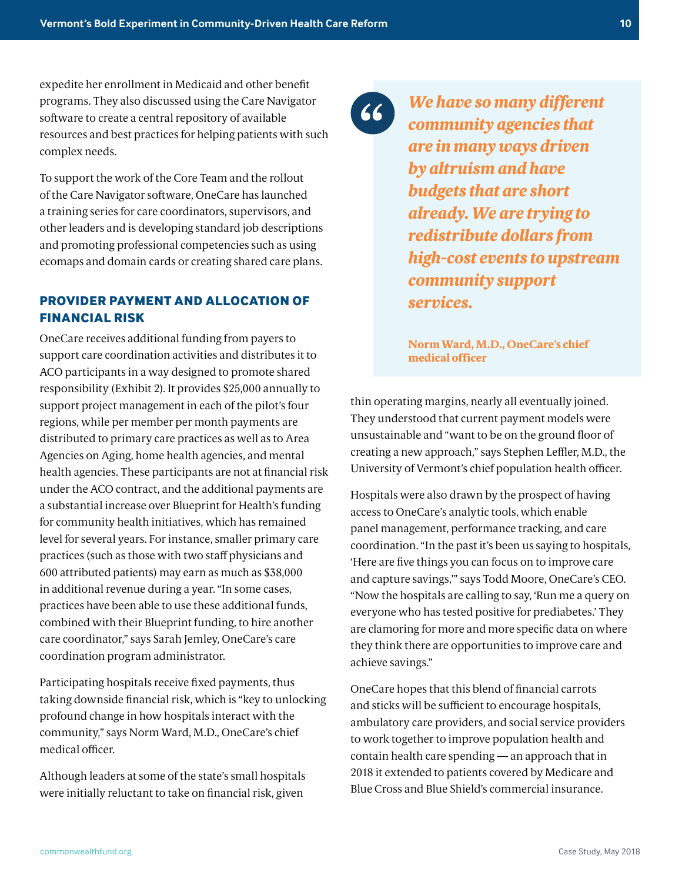expedite her enrollment in Medicaid and other benefit programs. They also discussed using the Care Navigator software to create a central repository of available resources and best practices for helping patients with such complex needs.

To support the work of the Core Team and the rollout of the Care Navigator software, OneCare has launched a training series for care coordinators, supervisors, and other leaders and is developing standard job descriptions and promoting professional competencies such as using ecomaps and domain cards or creating shared care plans.

### **PROVIDER PAYMENT AND ALLOCATION OF FINANCIAL RISK**

OneCare receives additional funding from payers to support care coordination activities and distributes it to ACO participants in a way designed to promote shared responsibility (Exhibit 2). It provides \$25,000 annually to support project management in each of the pilot's four regions, while per member per month payments are distributed to primary care practices as well as to Area Agencies on Aging, home health agencies, and mental health agencies. These participants are not at financial risk under the ACO contract, and the additional payments are a substantial increase over Blueprint for Health's funding for community health initiatives, which has remained level for several years. For instance, smaller primary care practices (such as those with two staff physicians and 600 attributed patients) may earn as much as \$38,000 in additional revenue during a year. "In some cases, practices have been able to use these additional funds, combined with their Blueprint funding, to hire another care coordinator," says Sarah Jemley, OneCare's care coordination program administrator.

Participating hospitals receive fixed payments, thus taking downside financial risk, which is "key to unlocking profound change in how hospitals interact with the community," says Norm Ward, M.D., OneCare's chief medical officer.

Although leaders at some of the state's small hospitals were initially reluctant to take on financial risk, given

66

*We have so many different community agencies that are in many ways driven by altruism and have budgets that are short already. We are trying to redistribute dollars from high-cost events to upstream community support services.*

**Norm Ward, M.D., OneCare's chief medical officer** 

thin operating margins, nearly all eventually joined. They understood that current payment models were unsustainable and "want to be on the ground floor of creating a new approach," says Stephen Leffler, M.D., the University of Vermont's chief population health officer.

Hospitals were also drawn by the prospect of having access to OneCare's analytic tools, which enable panel management, performance tracking, and care coordination. "In the past it's been us saying to hospitals, 'Here are five things you can focus on to improve care and capture savings,'" says Todd Moore, OneCare's CEO. "Now the hospitals are calling to say, 'Run me a query on everyone who has tested positive for prediabetes.' They are clamoring for more and more specific data on where they think there are opportunities to improve care and achieve savings."

OneCare hopes that this blend of financial carrots and sticks will be sufficient to encourage hospitals, ambulatory care providers, and social service providers to work together to improve population health and contain health care spending — an approach that in 2018 it extended to patients covered by Medicare and Blue Cross and Blue Shield's commercial insurance.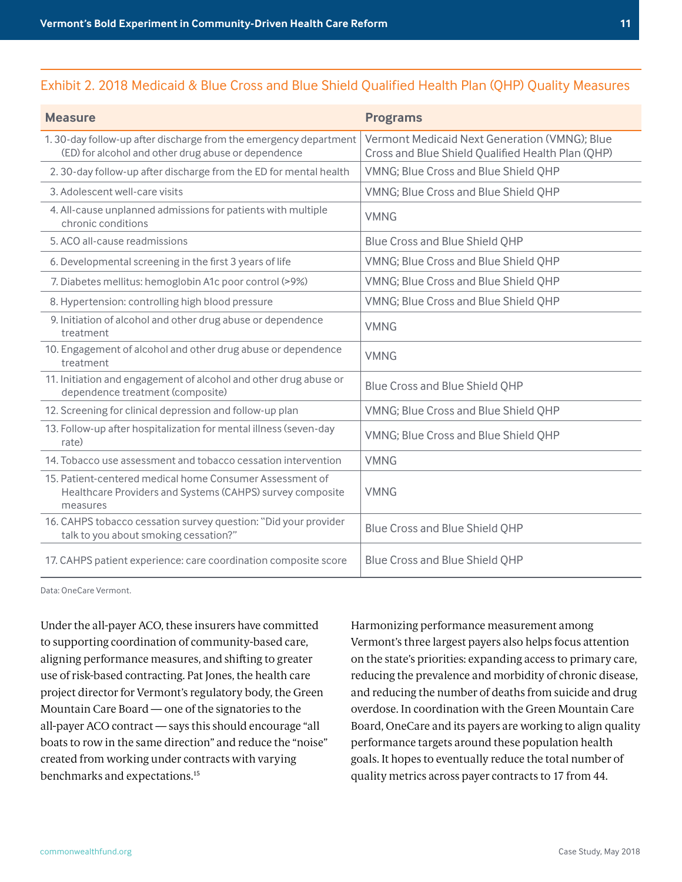#### Exhibit 2. 2018 Medicaid & Blue Cross and Blue Shield Qualified Health Plan (QHP) Quality Measures

| <b>Measure</b>                                                                                                                    | <b>Programs</b>                                                                                    |
|-----------------------------------------------------------------------------------------------------------------------------------|----------------------------------------------------------------------------------------------------|
| 1.30-day follow-up after discharge from the emergency department<br>(ED) for alcohol and other drug abuse or dependence           | Vermont Medicaid Next Generation (VMNG); Blue<br>Cross and Blue Shield Qualified Health Plan (QHP) |
| 2.30-day follow-up after discharge from the ED for mental health                                                                  | VMNG; Blue Cross and Blue Shield QHP                                                               |
| 3. Adolescent well-care visits                                                                                                    | VMNG; Blue Cross and Blue Shield QHP                                                               |
| 4. All-cause unplanned admissions for patients with multiple<br>chronic conditions                                                | <b>VMNG</b>                                                                                        |
| 5. ACO all-cause readmissions                                                                                                     | Blue Cross and Blue Shield QHP                                                                     |
| 6. Developmental screening in the first 3 years of life                                                                           | VMNG; Blue Cross and Blue Shield QHP                                                               |
| 7. Diabetes mellitus: hemoglobin A1c poor control (>9%)                                                                           | VMNG; Blue Cross and Blue Shield QHP                                                               |
| 8. Hypertension: controlling high blood pressure                                                                                  | VMNG; Blue Cross and Blue Shield QHP                                                               |
| 9. Initiation of alcohol and other drug abuse or dependence<br>treatment                                                          | <b>VMNG</b>                                                                                        |
| 10. Engagement of alcohol and other drug abuse or dependence<br>treatment                                                         | <b>VMNG</b>                                                                                        |
| 11. Initiation and engagement of alcohol and other drug abuse or<br>dependence treatment (composite)                              | Blue Cross and Blue Shield QHP                                                                     |
| 12. Screening for clinical depression and follow-up plan                                                                          | VMNG; Blue Cross and Blue Shield QHP                                                               |
| 13. Follow-up after hospitalization for mental illness (seven-day<br>rate)                                                        | VMNG; Blue Cross and Blue Shield QHP                                                               |
| 14. Tobacco use assessment and tobacco cessation intervention                                                                     | <b>VMNG</b>                                                                                        |
| 15. Patient-centered medical home Consumer Assessment of<br>Healthcare Providers and Systems (CAHPS) survey composite<br>measures | <b>VMNG</b>                                                                                        |
| 16. CAHPS tobacco cessation survey question: "Did your provider<br>talk to you about smoking cessation?"                          | Blue Cross and Blue Shield QHP                                                                     |
| 17. CAHPS patient experience: care coordination composite score                                                                   | <b>Blue Cross and Blue Shield QHP</b>                                                              |

Data: OneCare Vermont.

Under the all-payer ACO, these insurers have committed to supporting coordination of community-based care, aligning performance measures, and shifting to greater use of risk-based contracting. Pat Jones, the health care project director for Vermont's regulatory body, the Green Mountain Care Board — one of the signatories to the all-payer ACO contract — says this should encourage "all boats to row in the same direction" and reduce the "noise" created from working under contracts with varying benchmarks and expectations.<sup>15</sup>

Harmonizing performance measurement among Vermont's three largest payers also helps focus attention on the state's priorities: expanding access to primary care, reducing the prevalence and morbidity of chronic disease, and reducing the number of deaths from suicide and drug overdose. In coordination with the Green Mountain Care Board, OneCare and its payers are working to align quality performance targets around these population health goals. It hopes to eventually reduce the total number of quality metrics across payer contracts to 17 from 44.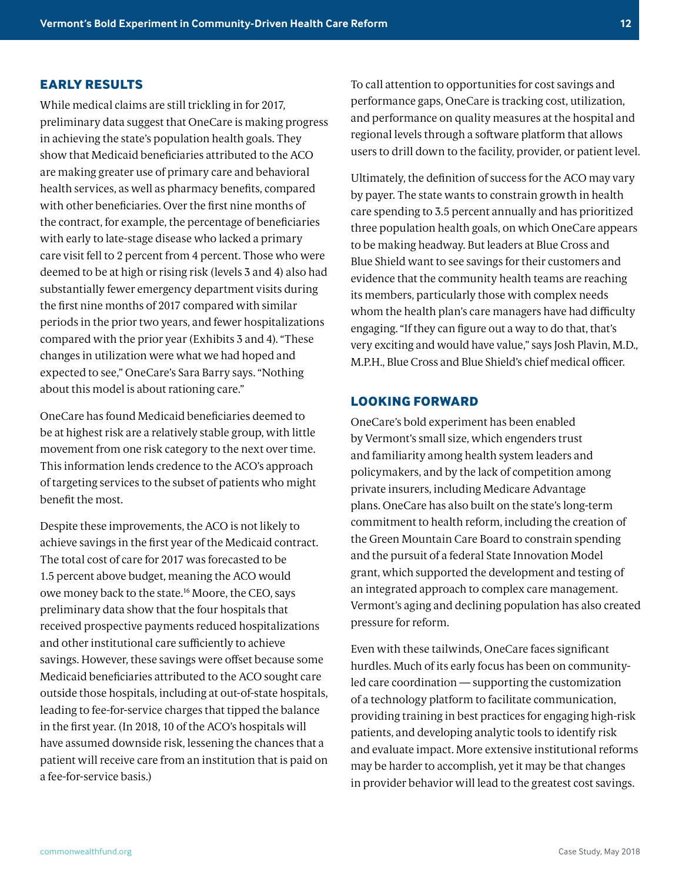## **EARLY RESULTS**

While medical claims are still trickling in for 2017, preliminary data suggest that OneCare is making progress in achieving the state's population health goals. They show that Medicaid beneficiaries attributed to the ACO are making greater use of primary care and behavioral health services, as well as pharmacy benefits, compared with other beneficiaries. Over the first nine months of the contract, for example, the percentage of beneficiaries with early to late-stage disease who lacked a primary care visit fell to 2 percent from 4 percent. Those who were deemed to be at high or rising risk (levels 3 and 4) also had substantially fewer emergency department visits during the first nine months of 2017 compared with similar periods in the prior two years, and fewer hospitalizations compared with the prior year (Exhibits 3 and 4). "These changes in utilization were what we had hoped and expected to see," OneCare's Sara Barry says. "Nothing about this model is about rationing care."

OneCare has found Medicaid beneficiaries deemed to be at highest risk are a relatively stable group, with little movement from one risk category to the next over time. This information lends credence to the ACO's approach of targeting services to the subset of patients who might benefit the most.

Despite these improvements, the ACO is not likely to achieve savings in the first year of the Medicaid contract. The total cost of care for 2017 was forecasted to be 1.5 percent above budget, meaning the ACO would owe money back to the state.16 Moore, the CEO, says preliminary data show that the four hospitals that received prospective payments reduced hospitalizations and other institutional care sufficiently to achieve savings. However, these savings were offset because some Medicaid beneficiaries attributed to the ACO sought care outside those hospitals, including at out-of-state hospitals, leading to fee-for-service charges that tipped the balance in the first year. (In 2018, 10 of the ACO's hospitals will have assumed downside risk, lessening the chances that a patient will receive care from an institution that is paid on a fee-for-service basis.)

To call attention to opportunities for cost savings and performance gaps, OneCare is tracking cost, utilization, and performance on quality measures at the hospital and regional levels through a software platform that allows users to drill down to the facility, provider, or patient level.

Ultimately, the definition of success for the ACO may vary by payer. The state wants to constrain growth in health care spending to 3.5 percent annually and has prioritized three population health goals, on which OneCare appears to be making headway. But leaders at Blue Cross and Blue Shield want to see savings for their customers and evidence that the community health teams are reaching its members, particularly those with complex needs whom the health plan's care managers have had difficulty engaging. "If they can figure out a way to do that, that's very exciting and would have value," says Josh Plavin, M.D., M.P.H., Blue Cross and Blue Shield's chief medical officer.

#### **LOOKING FORWARD**

OneCare's bold experiment has been enabled by Vermont's small size, which engenders trust and familiarity among health system leaders and policymakers, and by the lack of competition among private insurers, including Medicare Advantage plans. OneCare has also built on the state's long-term commitment to health reform, including the creation of the Green Mountain Care Board to constrain spending and the pursuit of a federal State Innovation Model grant, which supported the development and testing of an integrated approach to complex care management. Vermont's aging and declining population has also created pressure for reform.

Even with these tailwinds, OneCare faces significant hurdles. Much of its early focus has been on communityled care coordination — supporting the customization of a technology platform to facilitate communication, providing training in best practices for engaging high-risk patients, and developing analytic tools to identify risk and evaluate impact. More extensive institutional reforms may be harder to accomplish, yet it may be that changes in provider behavior will lead to the greatest cost savings.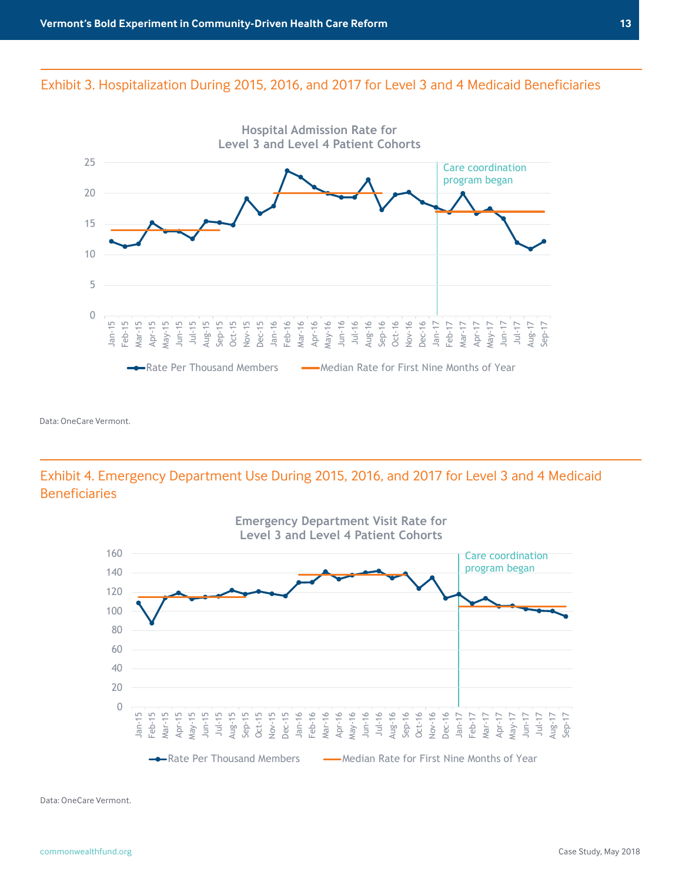**During 2015, 2016, and 2017 for Medicaid** 

# **Beneficiaries Deemed High and Very High Risk** Exhibit 3. Hospitalization During 2015, 2016, and 2017 for Level 3 and 4 Medicaid Beneficiaries



Data: OneCare Vermont.

# **Beneficiaries Deemed High and Very High Risk** Exhibit 4. Emergency Department Use During 2015, 2016, and 2017 for Level 3 and 4 Medicaid Beneficiaries



Data: OneCare Vermont.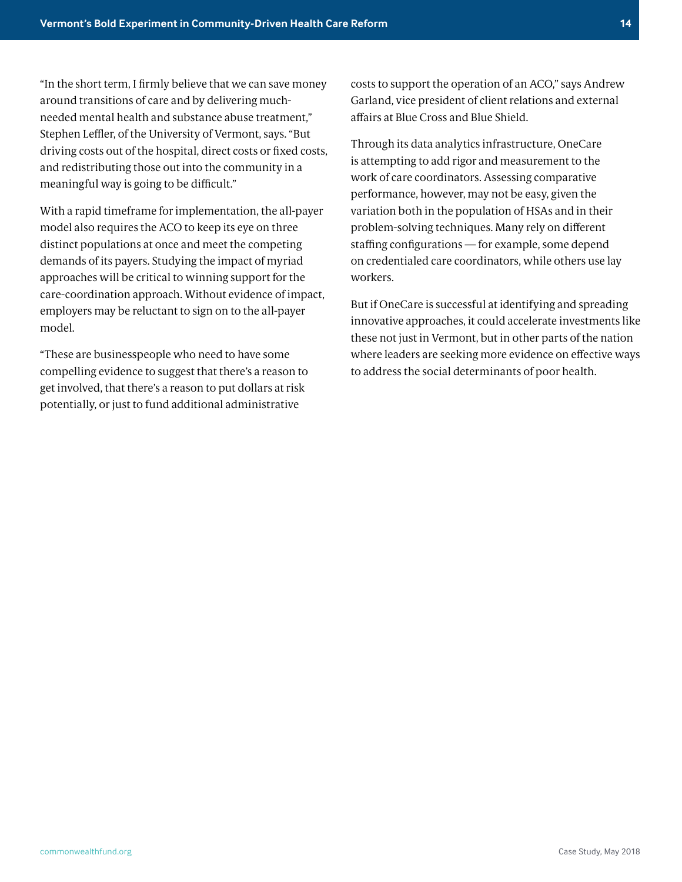"In the short term, I firmly believe that we can save money around transitions of care and by delivering muchneeded mental health and substance abuse treatment," Stephen Leffler, of the University of Vermont, says. "But driving costs out of the hospital, direct costs or fixed costs, and redistributing those out into the community in a meaningful way is going to be difficult."

With a rapid timeframe for implementation, the all-payer model also requires the ACO to keep its eye on three distinct populations at once and meet the competing demands of its payers. Studying the impact of myriad approaches will be critical to winning support for the care-coordination approach. Without evidence of impact, employers may be reluctant to sign on to the all-payer model.

"These are businesspeople who need to have some compelling evidence to suggest that there's a reason to get involved, that there's a reason to put dollars at risk potentially, or just to fund additional administrative

costs to support the operation of an ACO," says Andrew Garland, vice president of client relations and external affairs at Blue Cross and Blue Shield.

Through its data analytics infrastructure, OneCare is attempting to add rigor and measurement to the work of care coordinators. Assessing comparative performance, however, may not be easy, given the variation both in the population of HSAs and in their problem-solving techniques. Many rely on different staffing configurations — for example, some depend on credentialed care coordinators, while others use lay workers.

But if OneCare is successful at identifying and spreading innovative approaches, it could accelerate investments like these not just in Vermont, but in other parts of the nation where leaders are seeking more evidence on effective ways to address the social determinants of poor health.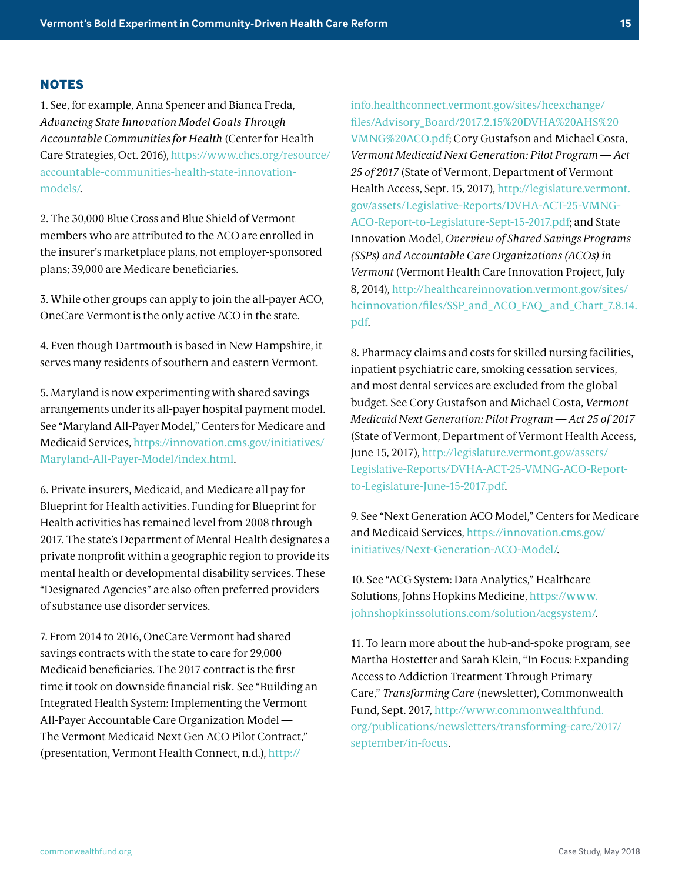#### **NOTES**

1. See, for example, Anna Spencer and Bianca Freda, *Advancing State Innovation Model Goals Through Accountable Communities for Health* (Center for Health Care Strategies, Oct. 2016), [https://www.chcs.org/resource/](https://www.chcs.org/resource/accountable-communities-health-state-innovation-models/) [accountable-communities-health-state-innovation](https://www.chcs.org/resource/accountable-communities-health-state-innovation-models/)[models/.](https://www.chcs.org/resource/accountable-communities-health-state-innovation-models/)

2. The 30,000 Blue Cross and Blue Shield of Vermont members who are attributed to the ACO are enrolled in the insurer's marketplace plans, not employer-sponsored plans; 39,000 are Medicare beneficiaries.

3. While other groups can apply to join the all-payer ACO, OneCare Vermont is the only active ACO in the state.

4. Even though Dartmouth is based in New Hampshire, it serves many residents of southern and eastern Vermont.

5. Maryland is now experimenting with shared savings arrangements under its all-payer hospital payment model. See "Maryland All-Payer Model," Centers for Medicare and Medicaid Services, [https://innovation.cms.gov/initiatives/](https://innovation.cms.gov/initiatives/Maryland-All-Payer-Model/index.html) [Maryland-All-Payer-Model/index.html](https://innovation.cms.gov/initiatives/Maryland-All-Payer-Model/index.html).

6. Private insurers, Medicaid, and Medicare all pay for Blueprint for Health activities. Funding for Blueprint for Health activities has remained level from 2008 through 2017. The state's Department of Mental Health designates a private nonprofit within a geographic region to provide its mental health or developmental disability services. These "Designated Agencies" are also often preferred providers of substance use disorder services.

7. From 2014 to 2016, OneCare Vermont had shared savings contracts with the state to care for 29,000 Medicaid beneficiaries. The 2017 contract is the first time it took on downside financial risk. See "Building an Integrated Health System: Implementing the Vermont All-Payer Accountable Care Organization Model — The Vermont Medicaid Next Gen ACO Pilot Contract," (presentation, Vermont Health Connect, n.d.), [http://](http://info.healthconnect.vermont.gov/sites/hcexchange/files/Advisory_Board/2017.2.15%20DVHA%20AHS%20VMNG%20ACO.pdf)

[info.healthconnect.vermont.gov/sites/hcexchange/](http://info.healthconnect.vermont.gov/sites/hcexchange/files/Advisory_Board/2017.2.15%20DVHA%20AHS%20VMNG%20ACO.pdf) [files/Advisory\\_Board/2017.2.15%20DVHA%20AHS%20](http://info.healthconnect.vermont.gov/sites/hcexchange/files/Advisory_Board/2017.2.15%20DVHA%20AHS%20VMNG%20ACO.pdf) [VMNG%20ACO.pdf](http://info.healthconnect.vermont.gov/sites/hcexchange/files/Advisory_Board/2017.2.15%20DVHA%20AHS%20VMNG%20ACO.pdf); Cory Gustafson and Michael Costa, *Vermont Medicaid Next Generation: Pilot Program — Act 25 of 2017* (State of Vermont, Department of Vermont Health Access, Sept. 15, 2017), [http://legislature.vermont.](http://legislature.vermont.gov/assets/Legislative-Reports/DVHA-ACT-25-VMNG-ACO-Report-to-Legislature-Sept-15-2017.pdf) [gov/assets/Legislative-Reports/DVHA-ACT-25-VMNG-](http://legislature.vermont.gov/assets/Legislative-Reports/DVHA-ACT-25-VMNG-ACO-Report-to-Legislature-Sept-15-2017.pdf)[ACO-Report-to-Legislature-Sept-15-2017.pdf](http://legislature.vermont.gov/assets/Legislative-Reports/DVHA-ACT-25-VMNG-ACO-Report-to-Legislature-Sept-15-2017.pdf); and State Innovation Model, *Overview of Shared Savings Programs (SSPs) and Accountable Care Organizations (ACOs) in Vermont* (Vermont Health Care Innovation Project, July 8, 2014), [http://healthcareinnovation.vermont.gov/sites/](http://healthcareinnovation.vermont.gov/sites/hcinnovation/files/SSP_and_ACO_FAQ_and_Chart_7.8.14.pdf.) [hcinnovation/files/SSP\\_and\\_ACO\\_FAQ \\_and\\_Chart\\_7.8.14.](http://healthcareinnovation.vermont.gov/sites/hcinnovation/files/SSP_and_ACO_FAQ_and_Chart_7.8.14.pdf.) [pdf](http://healthcareinnovation.vermont.gov/sites/hcinnovation/files/SSP_and_ACO_FAQ_and_Chart_7.8.14.pdf.).

8. Pharmacy claims and costs for skilled nursing facilities, inpatient psychiatric care, smoking cessation services, and most dental services are excluded from the global budget. See Cory Gustafson and Michael Costa, *Vermont Medicaid Next Generation: Pilot Program — Act 25 of 2017* (State of Vermont, Department of Vermont Health Access, June 15, 2017), [http://legislature.vermont.gov/assets/](http://legislature.vermont.gov/assets/Legislative-Reports/DVHA-ACT-25-VMNG-ACO-Report-to-Legislature-June-15-2017.pdf) [Legislative-Reports/DVHA-ACT-25-VMNG-ACO-Report](http://legislature.vermont.gov/assets/Legislative-Reports/DVHA-ACT-25-VMNG-ACO-Report-to-Legislature-June-15-2017.pdf)[to-Legislature-June-15-2017.pdf](http://legislature.vermont.gov/assets/Legislative-Reports/DVHA-ACT-25-VMNG-ACO-Report-to-Legislature-June-15-2017.pdf).

9. See "Next Generation ACO Model," Centers for Medicare and Medicaid Services, [https://innovation.cms.gov/](https://innovation.cms.gov/initiatives/Next-Generation-ACO-Model/.) [initiatives/Next-Generation-ACO-Model/](https://innovation.cms.gov/initiatives/Next-Generation-ACO-Model/.).

10. See "ACG System: Data Analytics," Healthcare Solutions, Johns Hopkins Medicine, [https://www.](https://www.johnshopkinssolutions.com/solution/acgsystem/) [johnshopkinssolutions.com/solution/acgsystem/](https://www.johnshopkinssolutions.com/solution/acgsystem/).

11. To learn more about the hub-and-spoke program, see Martha Hostetter and Sarah Klein, "In Focus: Expanding Access to Addiction Treatment Through Primary Care," *Transforming Care* (newsletter), Commonwealth Fund, Sept. 2017, [http://www.commonwealthfund.](http://www.commonwealthfund.org/publications/newsletters/transforming-care/2017/september/in-focus) [org/publications/newsletters/transforming-care/2017/](http://www.commonwealthfund.org/publications/newsletters/transforming-care/2017/september/in-focus) [september/in-focus.](http://www.commonwealthfund.org/publications/newsletters/transforming-care/2017/september/in-focus)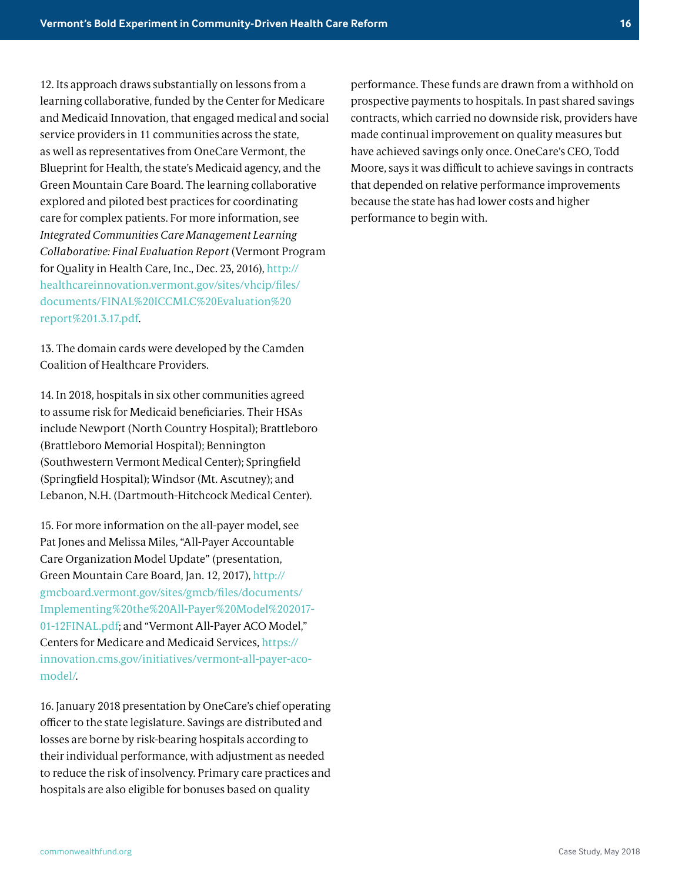12. Its approach draws substantially on lessons from a learning collaborative, funded by the Center for Medicare and Medicaid Innovation, that engaged medical and social service providers in 11 communities across the state, as well as representatives from OneCare Vermont, the Blueprint for Health, the state's Medicaid agency, and the Green Mountain Care Board. The learning collaborative explored and piloted best practices for coordinating care for complex patients. For more information, see *Integrated Communities Care Management Learning Collaborative: Final Evaluation Report* (Vermont Program for Quality in Health Care, Inc., Dec. 23, 2016), [http://](http://healthcareinnovation.vermont.gov/sites/vhcip/files/documents/FINAL%20ICCMLC%20Evaluation%20report%201.3.17.pdf) [healthcareinnovation.vermont.gov/sites/vhcip/files/](http://healthcareinnovation.vermont.gov/sites/vhcip/files/documents/FINAL%20ICCMLC%20Evaluation%20report%201.3.17.pdf) [documents/FINAL%20ICCMLC%20Evaluation%20](http://healthcareinnovation.vermont.gov/sites/vhcip/files/documents/FINAL%20ICCMLC%20Evaluation%20report%201.3.17.pdf) [report%201.3.17.pdf](http://healthcareinnovation.vermont.gov/sites/vhcip/files/documents/FINAL%20ICCMLC%20Evaluation%20report%201.3.17.pdf).

13. The domain cards were developed by the Camden Coalition of Healthcare Providers.

14. In 2018, hospitals in six other communities agreed to assume risk for Medicaid beneficiaries. Their HSAs include Newport (North Country Hospital); Brattleboro (Brattleboro Memorial Hospital); Bennington (Southwestern Vermont Medical Center); Springfield (Springfield Hospital); Windsor (Mt. Ascutney); and Lebanon, N.H. (Dartmouth-Hitchcock Medical Center).

15. For more information on the all-payer model, see Pat Jones and Melissa Miles, "All-Payer Accountable Care Organization Model Update" (presentation, Green Mountain Care Board, Jan. 12, 2017), [http://](http://gmcboard.vermont.gov/sites/gmcb/files/documents/Implementing%20the%20All-Payer%20Model%202017-01-12FINAL.pdf) [gmcboard.vermont.gov/sites/gmcb/files/documents/](http://gmcboard.vermont.gov/sites/gmcb/files/documents/Implementing%20the%20All-Payer%20Model%202017-01-12FINAL.pdf) [Implementing%20the%20All-Payer%20Model%202017-](http://gmcboard.vermont.gov/sites/gmcb/files/documents/Implementing%20the%20All-Payer%20Model%202017-01-12FINAL.pdf) [01-12FINAL.pdf](http://gmcboard.vermont.gov/sites/gmcb/files/documents/Implementing%20the%20All-Payer%20Model%202017-01-12FINAL.pdf); and "Vermont All-Payer ACO Model," Centers for Medicare and Medicaid Services, [https://](https://innovation.cms.gov/initiatives/vermont-all-payer-aco-model/) [innovation.cms.gov/initiatives/vermont-all-payer-aco](https://innovation.cms.gov/initiatives/vermont-all-payer-aco-model/)[model/](https://innovation.cms.gov/initiatives/vermont-all-payer-aco-model/).

16. January 2018 presentation by OneCare's chief operating officer to the state legislature. Savings are distributed and losses are borne by risk-bearing hospitals according to their individual performance, with adjustment as needed to reduce the risk of insolvency. Primary care practices and hospitals are also eligible for bonuses based on quality

performance. These funds are drawn from a withhold on prospective payments to hospitals. In past shared savings contracts, which carried no downside risk, providers have made continual improvement on quality measures but have achieved savings only once. OneCare's CEO, Todd Moore, says it was difficult to achieve savings in contracts that depended on relative performance improvements because the state has had lower costs and higher performance to begin with.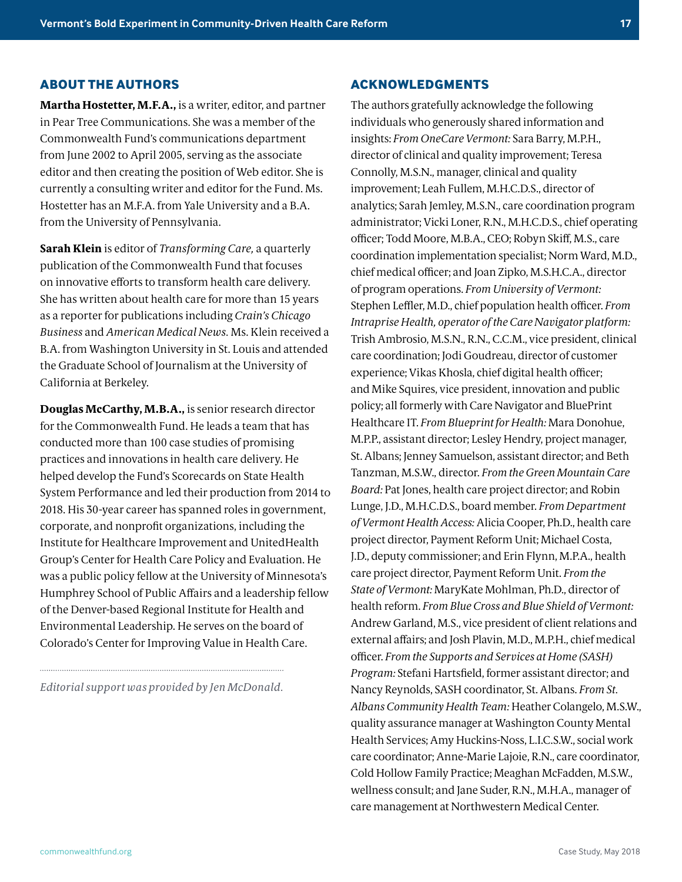#### **ABOUT THE AUTHORS**

**Martha Hostetter, M.F.A.,** is a writer, editor, and partner in Pear Tree Communications. She was a member of the Commonwealth Fund's communications department from June 2002 to April 2005, serving as the associate editor and then creating the position of Web editor. She is currently a consulting writer and editor for the Fund. Ms. Hostetter has an M.F.A. from Yale University and a B.A. from the University of Pennsylvania.

**Sarah Klein** is editor of *Transforming Care,* a quarterly publication of the Commonwealth Fund that focuses on innovative efforts to transform health care delivery. She has written about health care for more than 15 years as a reporter for publications including *Crain's Chicago Business* and *American Medical News.* Ms. Klein received a B.A. from Washington University in St. Louis and attended the Graduate School of Journalism at the University of California at Berkeley.

**Douglas McCarthy, M.B.A.,** is senior research director for the Commonwealth Fund. He leads a team that has conducted more than 100 case studies of promising practices and innovations in health care delivery. He helped develop the Fund's Scorecards on State Health System Performance and led their production from 2014 to 2018. His 30-year career has spanned roles in government, corporate, and nonprofit organizations, including the Institute for Healthcare Improvement and UnitedHealth Group's Center for Health Care Policy and Evaluation. He was a public policy fellow at the University of Minnesota's Humphrey School of Public Affairs and a leadership fellow of the Denver-based Regional Institute for Health and Environmental Leadership. He serves on the board of Colorado's Center for Improving Value in Health Care.

*Editorial support was provided by Jen McDonald.*

#### **ACKNOWLEDGMENTS**

The authors gratefully acknowledge the following individuals who generously shared information and insights: *From OneCare Vermont:* Sara Barry, M.P.H., director of clinical and quality improvement; Teresa Connolly, M.S.N., manager, clinical and quality improvement; Leah Fullem, M.H.C.D.S., director of analytics; Sarah Jemley, M.S.N., care coordination program administrator; Vicki Loner, R.N., M.H.C.D.S., chief operating officer; Todd Moore, M.B.A., CEO; Robyn Skiff, M.S., care coordination implementation specialist; Norm Ward, M.D., chief medical officer; and Joan Zipko, M.S.H.C.A., director of program operations. *From University of Vermont:* Stephen Leffler, M.D., chief population health officer. *From Intraprise Health, operator of the Care Navigator platform:* Trish Ambrosio, M.S.N., R.N., C.C.M., vice president, clinical care coordination; Jodi Goudreau, director of customer experience; Vikas Khosla, chief digital health officer; and Mike Squires, vice president, innovation and public policy; all formerly with Care Navigator and BluePrint Healthcare IT. *From Blueprint for Health:* Mara Donohue, M.P.P., assistant director; Lesley Hendry, project manager, St. Albans; Jenney Samuelson, assistant director; and Beth Tanzman, M.S.W., director. *From the Green Mountain Care Board:* Pat Jones, health care project director; and Robin Lunge, J.D., M.H.C.D.S., board member. *From Department of Vermont Health Access:* Alicia Cooper, Ph.D., health care project director, Payment Reform Unit; Michael Costa, J.D., deputy commissioner; and Erin Flynn, M.P.A., health care project director, Payment Reform Unit. *From the State of Vermont:* MaryKate Mohlman, Ph.D., director of health reform. *From Blue Cross and Blue Shield of Vermont:*  Andrew Garland, M.S., vice president of client relations and external affairs; and Josh Plavin, M.D., M.P.H., chief medical officer. *From the Supports and Services at Home (SASH) Program:* Stefani Hartsfield, former assistant director; and Nancy Reynolds, SASH coordinator, St. Albans. *From St. Albans Community Health Team:* Heather Colangelo, M.S.W., quality assurance manager at Washington County Mental Health Services; Amy Huckins-Noss, L.I.C.S.W., social work care coordinator; Anne-Marie Lajoie, R.N., care coordinator, Cold Hollow Family Practice; Meaghan McFadden, M.S.W., wellness consult; and Jane Suder, R.N., M.H.A., manager of care management at Northwestern Medical Center.